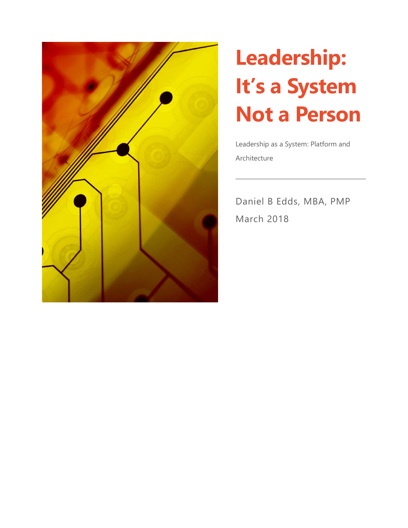

# **Leadership: It's a System Not a Person**

Leadership as a System: Platform and Architecture

Daniel B Edds, MBA, PMP March 2018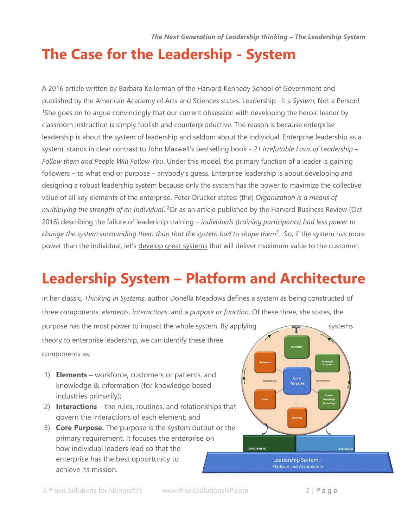# **The Case for the Leadership - System**

A 2016 article written by Barbara Kellerman of the Harvard Kennedy School of Government and published by the American Academy of Arts and Sciences states: Leadership –It a *System*, Not a Person! <sup>1</sup>She goes on to argue convincingly that our current obsession with developing the heroic leader by classroom instruction is simply foolish and counterproductive. The reason is because enterprise leadership is about the system of leadership and seldom about the individual. Enterprise leadership as a system, stands in clear contrast to John Maxwell's bestselling book - *21 Irrefutable Laws of Leadership – Follow them and People Will Follow You*. Under this model, the primary function of a leader is gaining followers – to what end or purpose – anybody's guess. Enterprise leadership is about developing and designing a robust leadership system because only the system has the power to maximize the collective value of all key elements of the enterprise. Peter Drucker states: (the) *Organization is a means of multiplying the strength of an individual*. <sup>2</sup>Or as an article published by the Harvard Business Review (Oct 2016) describing the failure of leadership training – *individuals (training participants) had less power to change the system surrounding them than that the system had to shape them<sup>3</sup> .* So, if the system has more power than the individual, let's develop great systems that will deliver maximum value to the customer.

## **Leadership System – Platform and Architecture**

In her classic, *Thinking in Systems*, author Donella Meadows defines a system as being constructed of three components: *elements, interactions*, and a *purpose or function*. Of these three, she states, the

purpose has the most power to impact the whole system. By applying systems theory to enterprise leadership, we can identify these three components as:

- 1) **Elements –** workforce, customers or patients, and knowledge & information (for knowledge based industries primarily);
- 2) **Interactions** the rules, routines, and relationships that govern the interactions of each element; and
- 3) **Core Purpose.** The purpose is the system output or the primary requirement. It focuses the enterprise on how individual leaders lead so that the enterprise has the best opportunity to achieve its mission.

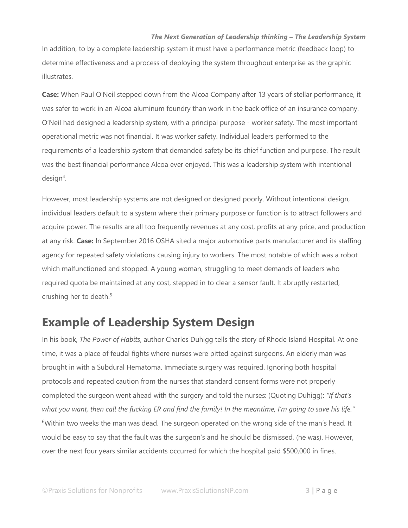#### *The Next Generation of Leadership thinking – The Leadership System*

In addition, to by a complete leadership system it must have a performance metric (feedback loop) to determine effectiveness and a process of deploying the system throughout enterprise as the graphic illustrates.

**Case:** When Paul O'Neil stepped down from the Alcoa Company after 13 years of stellar performance, it was safer to work in an Alcoa aluminum foundry than work in the back office of an insurance company. O'Neil had designed a leadership system, with a principal purpose - worker safety. The most important operational metric was not financial. It was worker safety. Individual leaders performed to the requirements of a leadership system that demanded safety be its chief function and purpose. The result was the best financial performance Alcoa ever enjoyed. This was a leadership system with intentional design<sup>4</sup>.

However, most leadership systems are not designed or designed poorly. Without intentional design, individual leaders default to a system where their primary purpose or function is to attract followers and acquire power. The results are all too frequently revenues at any cost, profits at any price, and production at any risk. **Case:** In September 2016 OSHA sited a major automotive parts manufacturer and its staffing agency for repeated safety violations causing injury to workers. The most notable of which was a robot which malfunctioned and stopped. A young woman, struggling to meet demands of leaders who required quota be maintained at any cost, stepped in to clear a sensor fault. It abruptly restarted, crushing her to death.<sup>5</sup>

### **Example of Leadership System Design**

In his book, *The Power of Habits*, author Charles Duhigg tells the story of Rhode Island Hospital. At one time, it was a place of feudal fights where nurses were pitted against surgeons. An elderly man was brought in with a Subdural Hematoma. Immediate surgery was required. Ignoring both hospital protocols and repeated caution from the nurses that standard consent forms were not properly completed the surgeon went ahead with the surgery and told the nurses: (Quoting Duhigg): *"If that's what you want, then call the fucking ER and find the family! In the meantime, I'm going to save his life."*  $6$ Within two weeks the man was dead. The surgeon operated on the wrong side of the man's head. It would be easy to say that the fault was the surgeon's and he should be dismissed, (he was). However, over the next four years similar accidents occurred for which the hospital paid \$500,000 in fines.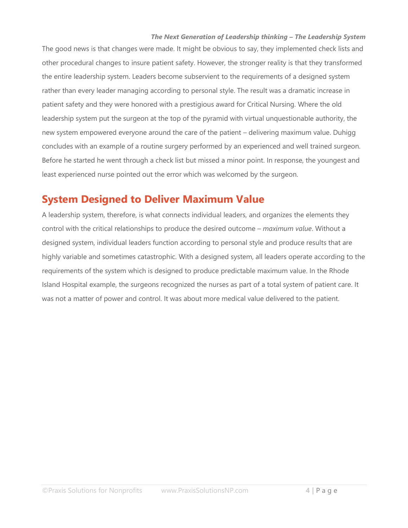#### *The Next Generation of Leadership thinking – The Leadership System*

The good news is that changes were made. It might be obvious to say, they implemented check lists and other procedural changes to insure patient safety. However, the stronger reality is that they transformed the entire leadership system. Leaders become subservient to the requirements of a designed system rather than every leader managing according to personal style. The result was a dramatic increase in patient safety and they were honored with a prestigious award for Critical Nursing. Where the old leadership system put the surgeon at the top of the pyramid with virtual unquestionable authority, the new system empowered everyone around the care of the patient – delivering maximum value. Duhigg concludes with an example of a routine surgery performed by an experienced and well trained surgeon. Before he started he went through a check list but missed a minor point. In response, the youngest and least experienced nurse pointed out the error which was welcomed by the surgeon.

#### **System Designed to Deliver Maximum Value**

A leadership system, therefore, is what connects individual leaders, and organizes the elements they control with the critical relationships to produce the desired outcome – *maximum value*. Without a designed system, individual leaders function according to personal style and produce results that are highly variable and sometimes catastrophic. With a designed system, all leaders operate according to the requirements of the system which is designed to produce predictable maximum value. In the Rhode Island Hospital example, the surgeons recognized the nurses as part of a total system of patient care. It was not a matter of power and control. It was about more medical value delivered to the patient.